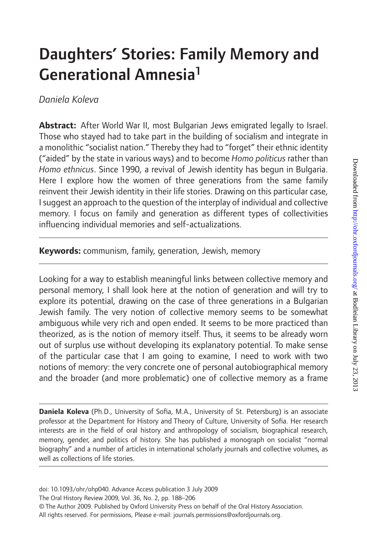# Daughters' Stories: Family Memory and Generational Amnesia<sup>1</sup>

#### *Daniela Koleva*

 **Abstract:** After World War II, most Bulgarian Jews emigrated legally to Israel. Those who stayed had to take part in the building of socialism and integrate in a monolithic "socialist nation." Thereby they had to "forget" their ethnic identity ("aided" by the state in various ways) and to become *Homo politicus* rather than *Homo ethnicus* . Since 1990, a revival of Jewish identity has begun in Bulgaria. Here I explore how the women of three generations from the same family reinvent their Jewish identity in their life stories. Drawing on this particular case, I suggest an approach to the question of the interplay of individual and collective memory. I focus on family and generation as different types of collectivities influencing individual memories and self-actualizations.

**Keywords:** communism, family, generation, Jewish, memory

 Looking for a way to establish meaningful links between collective memory and personal memory, I shall look here at the notion of generation and will try to explore its potential, drawing on the case of three generations in a Bulgarian Jewish family. The very notion of collective memory seems to be somewhat ambiguous while very rich and open ended. It seems to be more practiced than theorized, as is the notion of memory itself. Thus, it seems to be already worn out of surplus use without developing its explanatory potential. To make sense of the particular case that I am going to examine, I need to work with two notions of memory: the very concrete one of personal autobiographical memory and the broader (and more problematic) one of collective memory as a frame

**Daniela Koleva** (Ph.D., University of Sofia, M.A., University of St. Petersburg) is an associate professor at the Department for History and Theory of Culture, University of Sofia. Her research interests are in the field of oral history and anthropology of socialism, biographical research, memory, gender, and politics of history. She has published a monograph on socialist "normal biography" and a number of articles in international scholarly journals and collective volumes, as well as collections of life stories.

 doi: 10.1093/ohr/ohp040. Advance Access publication 3 July 2009 The Oral History Review 2009, Vol. 36, No. 2, pp. 188–206 © The Author 2009. Published by Oxford University Press on behalf of the Oral History Association. All rights reserved. For permissions, Please e-mail: journals.permissions@oxfordjournals.org.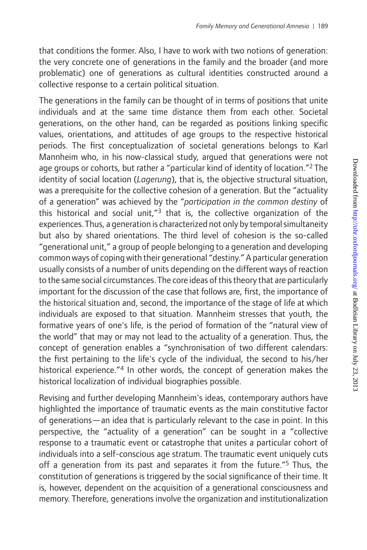that conditions the former. Also, I have to work with two notions of generation: the very concrete one of generations in the family and the broader (and more problematic) one of generations as cultural identities constructed around a collective response to a certain political situation.

 The generations in the family can be thought of in terms of positions that unite individuals and at the same time distance them from each other. Societal generations, on the other hand, can be regarded as positions linking specific values, orientations, and attitudes of age groups to the respective historical periods. The first conceptualization of societal generations belongs to Karl Mannheim who, in his now-classical study, argued that generations were not age groups or cohorts, but rather a "particular kind of identity of location."<sup>2</sup> The identity of social location (*Lagerung*), that is, the objective structural situation, was a prerequisite for the collective cohesion of a generation. But the " actuality of a generation" was achieved by the "participation in the common destiny of this historical and social unit, $^{\prime\prime}$  that is, the collective organization of the experiences. Thus, a generation is characterized not only by temporal simultaneity but also by shared orientations. The third level of cohesion is the so-called " generational unit, " a group of people belonging to a generation and developing common ways of coping with their generational " destiny. " A particular generation usually consists of a number of units depending on the different ways of reaction to the same social circumstances. The core ideas of this theory that are particularly important for the discussion of the case that follows are, first, the importance of the historical situation and, second, the importance of the stage of life at which individuals are exposed to that situation. Mannheim stresses that youth, the formative years of one's life, is the period of formation of the " natural view of the world" that may or may not lead to the actuality of a generation. Thus, the concept of generation enables a " synchronisation of two different calendars: the first pertaining to the life's cycle of the individual, the second to his/her historical experience."<sup>4</sup> In other words, the concept of generation makes the historical localization of individual biographies possible.

 Revising and further developing Mannheim's ideas, contemporary authors have highlighted the importance of traumatic events as the main constitutive factor of generations — an idea that is particularly relevant to the case in point. In this perspective, the "actuality of a generation" can be sought in a "collective response to a traumatic event or catastrophe that unites a particular cohort of individuals into a self-conscious age stratum. The traumatic event uniquely cuts off a generation from its past and separates it from the future.<sup>"5</sup> Thus, the constitution of generations is triggered by the social significance of their time. It is, however, dependent on the acquisition of a generational consciousness and memory. Therefore, generations involve the organization and institutionalization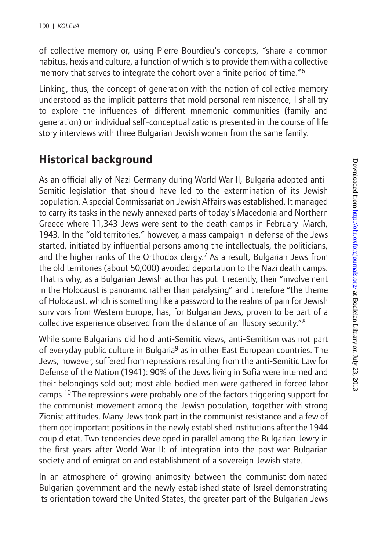of collective memory or, using Pierre Bourdieu's concepts, " share a common habitus, hexis and culture, a function of which is to provide them with a collective memory that serves to integrate the cohort over a finite period of time.<sup>"6</sup>

 Linking, thus, the concept of generation with the notion of collective memory understood as the implicit patterns that mold personal reminiscence, I shall try to explore the influences of different mnemonic communities (family and generation) on individual self-conceptualizations presented in the course of life story interviews with three Bulgarian Jewish women from the same family.

## **Historical background**

As an official ally of Nazi Germany during World War II, Bulgaria adopted anti-Semitic legislation that should have led to the extermination of its Jewish population. A special Commissariat on Jewish Affairs was established. It managed to carry its tasks in the newly annexed parts of today's Macedonia and Northern Greece where 11,343 Jews were sent to the death camps in February–March, 1943. In the "old territories," however, a mass campaign in defense of the Jews started, initiated by influential persons among the intellectuals, the politicians, and the higher ranks of the Orthodox clergy.<sup>7</sup> As a result, Bulgarian Jews from the old territories (about 50,000) avoided deportation to the Nazi death camps. That is why, as a Bulgarian Jewish author has put it recently, their "involvement in the Holocaust is panoramic rather than paralysing" and therefore "the theme of Holocaust, which is something like a password to the realms of pain for Jewish survivors from Western Europe, has, for Bulgarian Jews, proven to be part of a collective experience observed from the distance of an illusory security."<sup>8</sup>

 While some Bulgarians did hold anti-Semitic views, anti-Semitism was not part of everyday public culture in Bulgaria<sup>9</sup> as in other East European countries. The Jews, however, suffered from repressions resulting from the anti-Semitic Law for Defense of the Nation (1941): 90% of the Jews living in Sofia were interned and their belongings sold out; most able-bodied men were gathered in forced labor camps.<sup>10</sup> The repressions were probably one of the factors triggering support for the communist movement among the Jewish population, together with strong Zionist attitudes. Many Jews took part in the communist resistance and a few of them got important positions in the newly established institutions after the 1944 coup d'etat. Two tendencies developed in parallel among the Bulgarian Jewry in the first years after World War II: of integration into the post-war Bulgarian society and of emigration and establishment of a sovereign Jewish state.

 In an atmosphere of growing animosity between the communist-dominated Bulgarian government and the newly established state of Israel demonstrating its orientation toward the United States, the greater part of the Bulgarian Jews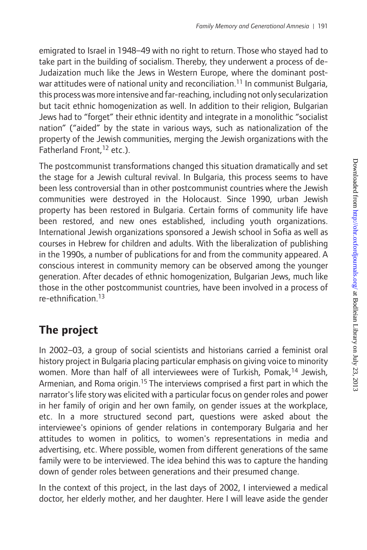emigrated to Israel in 1948-49 with no right to return. Those who stayed had to take part in the building of socialism. Thereby, they underwent a process of de-Judaization much like the Jews in Western Europe, where the dominant postwar attitudes were of national unity and reconciliation.<sup>11</sup> In communist Bulgaria, this process was more intensive and far-reaching, including not only secularization but tacit ethnic homogenization as well. In addition to their religion, Bulgarian Jews had to "forget" their ethnic identity and integrate in a monolithic "socialist nation" ("aided" by the state in various ways, such as nationalization of the property of the Jewish communities, merging the Jewish organizations with the Fatherland Front,<sup>12</sup> etc.).

 The postcommunist transformations changed this situation dramatically and set the stage for a Jewish cultural revival. In Bulgaria, this process seems to have been less controversial than in other postcommunist countries where the Jewish communities were destroyed in the Holocaust. Since 1990, urban Jewish property has been restored in Bulgaria. Certain forms of community life have been restored, and new ones established, including youth organizations. International Jewish organizations sponsored a Jewish school in Sofia as well as courses in Hebrew for children and adults. With the liberalization of publishing in the 1990s, a number of publications for and from the community appeared. A conscious interest in community memory can be observed among the younger generation. After decades of ethnic homogenization, Bulgarian Jews, much like those in the other postcommunist countries, have been involved in a process of  $re-ethnification<sup>13</sup>$ 

## **The project**

In 2002-03, a group of social scientists and historians carried a feminist oral history project in Bulgaria placing particular emphasis on giving voice to minority women. More than half of all interviewees were of Turkish, Pomak,<sup>14</sup> Jewish, Armenian, and Roma origin.<sup>15</sup> The interviews comprised a first part in which the narrator's life story was elicited with a particular focus on gender roles and power in her family of origin and her own family, on gender issues at the workplace, etc. In a more structured second part, questions were asked about the interviewee's opinions of gender relations in contemporary Bulgaria and her attitudes to women in politics, to women's representations in media and advertising, etc. Where possible, women from different generations of the same family were to be interviewed. The idea behind this was to capture the handing down of gender roles between generations and their presumed change.

 In the context of this project, in the last days of 2002, I interviewed a medical doctor, her elderly mother, and her daughter. Here I will leave aside the gender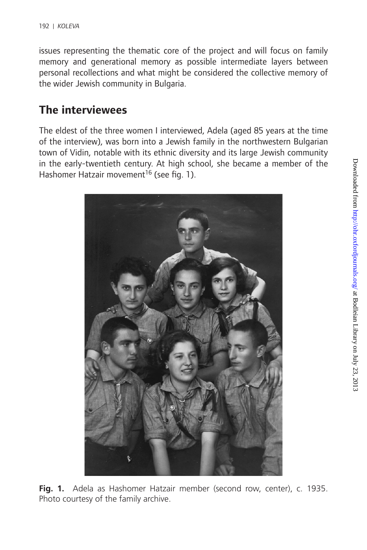issues representing the thematic core of the project and will focus on family memory and generational memory as possible intermediate layers between personal recollections and what might be considered the collective memory of the wider Jewish community in Bulgaria.

#### **The interviewees**

 The eldest of the three women I interviewed, Adela (aged 85 years at the time of the interview), was born into a Jewish family in the northwestern Bulgarian town of Vidin, notable with its ethnic diversity and its large Jewish community in the early-twentieth century. At high school, she became a member of the Hashomer Hatzair movement<sup>16</sup> (see fig. 1).



Fig. 1. Adela as Hashomer Hatzair member (second row, center), c. 1935. Photo courtesy of the family archive.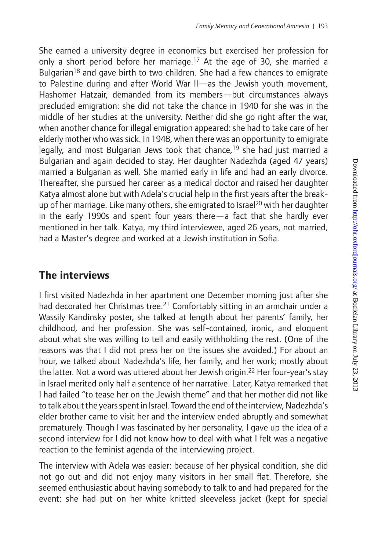She earned a university degree in economics but exercised her profession for only a short period before her marriage.<sup>17</sup> At the age of 30, she married a Bulgarian<sup>18</sup> and gave birth to two children. She had a few chances to emigrate to Palestine during and after World War II-as the Jewish youth movement, Hashomer Hatzair, demanded from its members — but circumstances always precluded emigration: she did not take the chance in 1940 for she was in the middle of her studies at the university. Neither did she go right after the war, when another chance for illegal emigration appeared: she had to take care of her elderly mother who was sick. In 1948, when there was an opportunity to emigrate legally, and most Bulgarian Jews took that chance,<sup>19</sup> she had just married a Bulgarian and again decided to stay. Her daughter Nadezhda (aged 47 years) married a Bulgarian as well. She married early in life and had an early divorce. Thereafter, she pursued her career as a medical doctor and raised her daughter Katya almost alone but with Adela's crucial help in the first years after the breakup of her marriage. Like many others, she emigrated to Israel<sup>20</sup> with her daughter in the early 1990s and spent four years there — a fact that she hardly ever mentioned in her talk. Katya, my third interviewee, aged 26 years, not married, had a Master's degree and worked at a Jewish institution in Sofia.

#### **The interviews**

I first visited Nadezhda in her apartment one December morning just after she had decorated her Christmas tree.<sup>21</sup> Comfortably sitting in an armchair under a Wassily Kandinsky poster, she talked at length about her parents' family, her childhood, and her profession. She was self-contained, ironic, and eloquent about what she was willing to tell and easily withholding the rest. (One of the reasons was that I did not press her on the issues she avoided.) For about an hour, we talked about Nadezhda's life, her family, and her work; mostly about the latter. Not a word was uttered about her Jewish origin.<sup>22</sup> Her four-year's stay in Israel merited only half a sentence of her narrative. Later, Katya remarked that I had failed "to tease her on the Jewish theme" and that her mother did not like to talk about the years spent in Israel. Toward the end of the interview, Nadezhda's elder brother came to visit her and the interview ended abruptly and somewhat prematurely. Though I was fascinated by her personality, I gave up the idea of a second interview for I did not know how to deal with what I felt was a negative reaction to the feminist agenda of the interviewing project.

 The interview with Adela was easier: because of her physical condition, she did not go out and did not enjoy many visitors in her small flat. Therefore, she seemed enthusiastic about having somebody to talk to and had prepared for the event: she had put on her white knitted sleeveless jacket (kept for special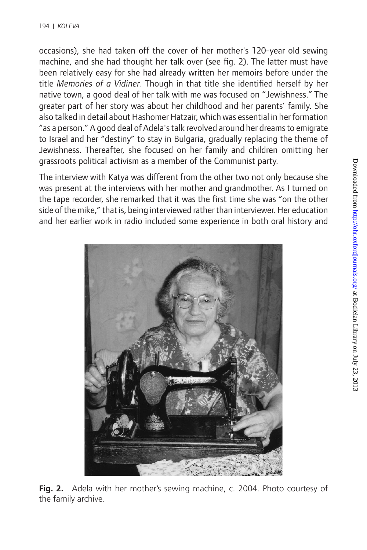occasions), she had taken off the cover of her mother's 120-year old sewing machine, and she had thought her talk over (see fig. 2). The latter must have been relatively easy for she had already written her memoirs before under the title *Memories of a Vidiner*. Though in that title she identified herself by her native town, a good deal of her talk with me was focused on " Jewishness. " The greater part of her story was about her childhood and her parents' family. She also talked in detail about Hashomer Hatzair, which was essential in her formation " as a person. " A good deal of Adela's talk revolved around her dreams to emigrate to Israel and her "destiny" to stay in Bulgaria, gradually replacing the theme of Jewishness. Thereafter, she focused on her family and children omitting her grassroots political activism as a member of the Communist party.

 The interview with Katya was different from the other two not only because she was present at the interviews with her mother and grandmother. As I turned on the tape recorder, she remarked that it was the first time she was "on the other side of the mike," that is, being interviewed rather than interviewer. Her education and her earlier work in radio included some experience in both oral history and



**Fig. 2.** Adela with her mother's sewing machine, c. 2004. Photo courtesy of the family archive.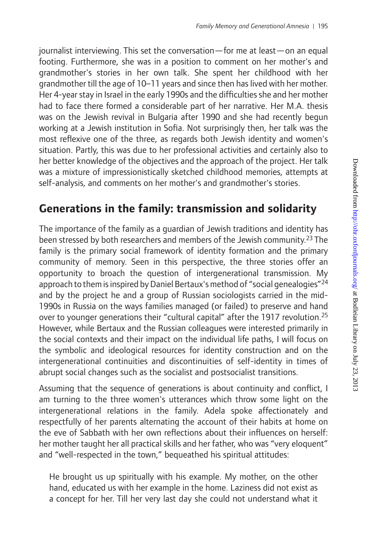journalist interviewing. This set the conversation — for me at least — on an equal footing. Furthermore, she was in a position to comment on her mother's and grandmother's stories in her own talk. She spent her childhood with her grandmother till the age of 10–11 years and since then has lived with her mother. Her 4-year stay in Israel in the early 1990s and the difficulties she and her mother had to face there formed a considerable part of her narrative. Her M.A. thesis was on the Jewish revival in Bulgaria after 1990 and she had recently begun working at a Jewish institution in Sofia. Not surprisingly then, her talk was the most reflexive one of the three, as regards both Jewish identity and women's situation. Partly, this was due to her professional activities and certainly also to her better knowledge of the objectives and the approach of the project. Her talk was a mixture of impressionistically sketched childhood memories, attempts at self-analysis, and comments on her mother's and grandmother's stories.

## **Generations in the family: transmission and solidarity**

 The importance of the family as a guardian of Jewish traditions and identity has been stressed by both researchers and members of the Jewish community.<sup>23</sup> The family is the primary social framework of identity formation and the primary community of memory. Seen in this perspective, the three stories offer an opportunity to broach the question of intergenerational transmission. My approach to them is inspired by Daniel Bertaux's method of "social genealogies"<sup>24</sup> and by the project he and a group of Russian sociologists carried in the mid-1990s in Russia on the ways families managed (or failed) to preserve and hand over to younger generations their "cultural capital" after the 1917 revolution.<sup>25</sup> However, while Bertaux and the Russian colleagues were interested primarily in the social contexts and their impact on the individual life paths, I will focus on the symbolic and ideological resources for identity construction and on the intergenerational continuities and discontinuities of self-identity in times of abrupt social changes such as the socialist and postsocialist transitions.

Assuming that the sequence of generations is about continuity and conflict, I am turning to the three women's utterances which throw some light on the intergenerational relations in the family. Adela spoke affectionately and respectfully of her parents alternating the account of their habits at home on the eve of Sabbath with her own reflections about their influences on herself: her mother taught her all practical skills and her father, who was "very eloquent" and "well-respected in the town," bequeathed his spiritual attitudes:

 He brought us up spiritually with his example. My mother, on the other hand, educated us with her example in the home. Laziness did not exist as a concept for her. Till her very last day she could not understand what it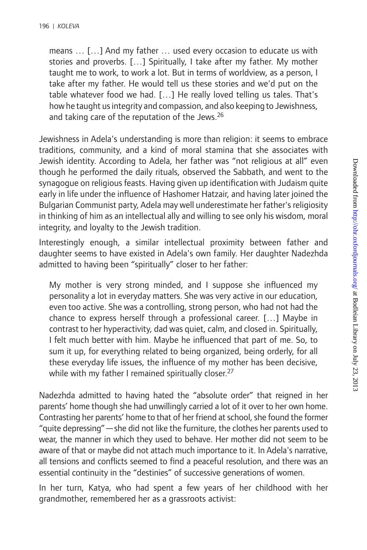means ... [...] And my father ... used every occasion to educate us with stories and proverbs. [ … ] Spiritually, I take after my father. My mother taught me to work, to work a lot. But in terms of worldview, as a person, I take after my father. He would tell us these stories and we'd put on the table whatever food we had. [ … ] He really loved telling us tales. That's how he taught us integrity and compassion, and also keeping to Jewishness, and taking care of the reputation of the Jews. 26

 Jewishness in Adela's understanding is more than religion: it seems to embrace traditions, community, and a kind of moral stamina that she associates with Jewish identity. According to Adela, her father was "not religious at all" even though he performed the daily rituals, observed the Sabbath, and went to the synagogue on religious feasts. Having given up identification with Judaism guite early in life under the influence of Hashomer Hatzair, and having later joined the Bulgarian Communist party, Adela may well underestimate her father's religiosity in thinking of him as an intellectual ally and willing to see only his wisdom, moral integrity, and loyalty to the Jewish tradition.

 Interestingly enough, a similar intellectual proximity between father and daughter seems to have existed in Adela's own family. Her daughter Nadezhda admitted to having been "spiritually" closer to her father:

My mother is very strong minded, and I suppose she influenced my personality a lot in everyday matters. She was very active in our education, even too active. She was a controlling, strong person, who had not had the chance to express herself through a professional career. [ … ] Maybe in contrast to her hyperactivity, dad was quiet, calm, and closed in. Spiritually, I felt much better with him. Maybe he influenced that part of me. So, to sum it up, for everything related to being organized, being orderly, for all these everyday life issues, the influence of my mother has been decisive, while with my father I remained spiritually closer.<sup>27</sup>

Nadezhda admitted to having hated the "absolute order" that reigned in her parents' home though she had unwillingly carried a lot of it over to her own home. Contrasting her parents' home to that of her friend at school, she found the former " quite depressing " — she did not like the furniture, the clothes her parents used to wear, the manner in which they used to behave. Her mother did not seem to be aware of that or maybe did not attach much importance to it. In Adela's narrative, all tensions and conflicts seemed to find a peaceful resolution, and there was an essential continuity in the "destinies" of successive generations of women.

 In her turn, Katya, who had spent a few years of her childhood with her grandmother, remembered her as a grassroots activist: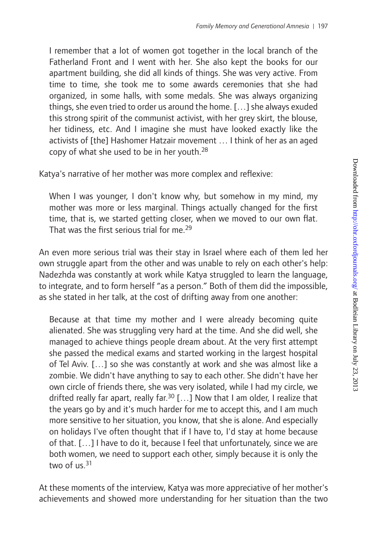I remember that a lot of women got together in the local branch of the Fatherland Front and I went with her. She also kept the books for our apartment building, she did all kinds of things. She was very active. From time to time, she took me to some awards ceremonies that she had organized, in some halls, with some medals. She was always organizing things, she even tried to order us around the home. [ … ] she always exuded this strong spirit of the communist activist, with her grey skirt, the blouse, her tidiness, etc. And I imagine she must have looked exactly like the activists of [the] Hashomer Hatzair movement … I think of her as an aged copy of what she used to be in her youth. 28

Katya's narrative of her mother was more complex and reflexive:

When I was younger, I don't know why, but somehow in my mind, my mother was more or less marginal. Things actually changed for the first time, that is, we started getting closer, when we moved to our own flat. That was the first serious trial for me.  $29$ 

 An even more serious trial was their stay in Israel where each of them led her own struggle apart from the other and was unable to rely on each other's help: Nadezhda was constantly at work while Katya struggled to learn the language, to integrate, and to form herself "as a person." Both of them did the impossible, as she stated in her talk, at the cost of drifting away from one another:

 Because at that time my mother and I were already becoming quite alienated. She was struggling very hard at the time. And she did well, she managed to achieve things people dream about. At the very first attempt she passed the medical exams and started working in the largest hospital of Tel Aviv. [ … ] so she was constantly at work and she was almost like a zombie. We didn't have anything to say to each other. She didn't have her own circle of friends there, she was very isolated, while I had my circle, we drifted really far apart, really far.<sup>30</sup> [...] Now that I am older, I realize that the years go by and it's much harder for me to accept this, and I am much more sensitive to her situation, you know, that she is alone. And especially on holidays I've often thought that if I have to, I'd stay at home because of that. [...] I have to do it, because I feel that unfortunately, since we are both women, we need to support each other, simply because it is only the two of  $\mu$ s.<sup>31</sup>

 At these moments of the interview, Katya was more appreciative of her mother's achievements and showed more understanding for her situation than the two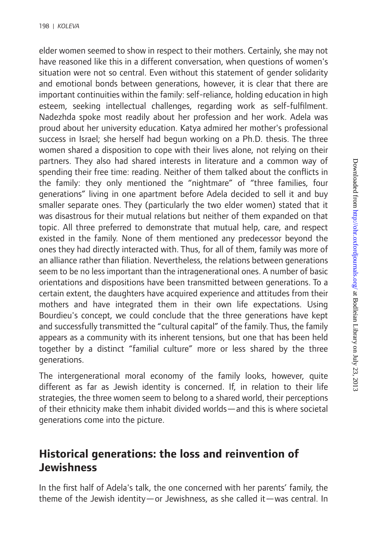elder women seemed to show in respect to their mothers. Certainly, she may not have reasoned like this in a different conversation, when questions of women's situation were not so central. Even without this statement of gender solidarity and emotional bonds between generations, however, it is clear that there are important continuities within the family: self-reliance, holding education in high esteem, seeking intellectual challenges, regarding work as self-fulfilment. Nadezhda spoke most readily about her profession and her work. Adela was proud about her university education. Katya admired her mother's professional success in Israel; she herself had begun working on a Ph.D. thesis. The three women shared a disposition to cope with their lives alone, not relying on their partners. They also had shared interests in literature and a common way of spending their free time: reading. Neither of them talked about the conflicts in the family: they only mentioned the "nightmare" of "three families, four generations" living in one apartment before Adela decided to sell it and buy smaller separate ones. They (particularly the two elder women) stated that it was disastrous for their mutual relations but neither of them expanded on that topic. All three preferred to demonstrate that mutual help, care, and respect existed in the family. None of them mentioned any predecessor beyond the ones they had directly interacted with. Thus, for all of them, family was more of an alliance rather than filiation. Nevertheless, the relations between generations seem to be no less important than the intragenerational ones. A number of basic orientations and dispositions have been transmitted between generations. To a certain extent, the daughters have acquired experience and attitudes from their mothers and have integrated them in their own life expectations. Using Bourdieu's concept, we could conclude that the three generations have kept and successfully transmitted the "cultural capital" of the family. Thus, the family appears as a community with its inherent tensions, but one that has been held together by a distinct "familial culture" more or less shared by the three generations.

 The intergenerational moral economy of the family looks, however, quite different as far as Jewish identity is concerned. If, in relation to their life strategies, the three women seem to belong to a shared world, their perceptions of their ethnicity make them inhabit divided worlds — and this is where societal generations come into the picture.

#### **Historical generations: the loss and reinvention of Jewishness**

In the first half of Adela's talk, the one concerned with her parents' family, the theme of the Jewish identity — or Jewishness, as she called it — was central. In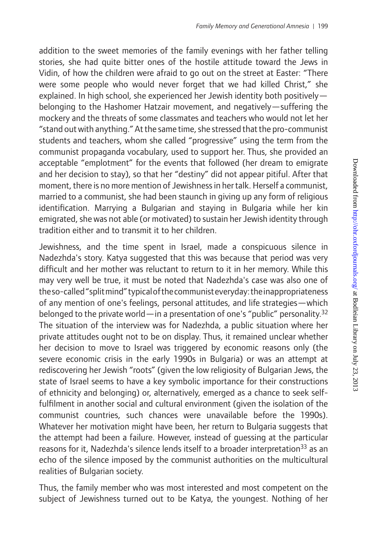addition to the sweet memories of the family evenings with her father telling stories, she had quite bitter ones of the hostile attitude toward the Jews in Vidin, of how the children were afraid to go out on the street at Easter: " There were some people who would never forget that we had killed Christ," she explained. In high school, she experienced her Jewish identity both positively belonging to the Hashomer Hatzair movement, and negatively — suffering the mockery and the threats of some classmates and teachers who would not let her " stand out with anything. " At the same time, she stressed that the pro-communist students and teachers, whom she called "progressive" using the term from the communist propaganda vocabulary, used to support her. Thus, she provided an acceptable "emplotment" for the events that followed (her dream to emigrate and her decision to stay), so that her "destiny" did not appear pitiful. After that moment, there is no more mention of Jewishness in her talk. Herself a communist, married to a communist, she had been staunch in giving up any form of religious identification. Marrying a Bulgarian and staying in Bulgaria while her kin emigrated, she was not able (or motivated) to sustain her Jewish identity through tradition either and to transmit it to her children.

 Jewishness, and the time spent in Israel, made a conspicuous silence in Nadezhda's story. Katya suggested that this was because that period was very difficult and her mother was reluctant to return to it in her memory. While this may very well be true, it must be noted that Nadezhda's case was also one of the so-called "split mind" typical of the communist everyday: the inappropriateness of any mention of one's feelings, personal attitudes, and life strategies — which belonged to the private world — in a presentation of one's "public" personality.<sup>32</sup> The situation of the interview was for Nadezhda, a public situation where her private attitudes ought not to be on display. Thus, it remained unclear whether her decision to move to Israel was triggered by economic reasons only (the severe economic crisis in the early 1990s in Bulgaria) or was an attempt at rediscovering her Jewish "roots" (given the low religiosity of Bulgarian Jews, the state of Israel seems to have a key symbolic importance for their constructions of ethnicity and belonging) or, alternatively, emerged as a chance to seek selffulfilment in another social and cultural environment (given the isolation of the communist countries, such chances were unavailable before the 1990s). Whatever her motivation might have been, her return to Bulgaria suggests that the attempt had been a failure. However, instead of guessing at the particular reasons for it, Nadezhda's silence lends itself to a broader interpretation<sup>33</sup> as an echo of the silence imposed by the communist authorities on the multicultural realities of Bulgarian society.

 Thus, the family member who was most interested and most competent on the subject of Jewishness turned out to be Katya, the youngest. Nothing of her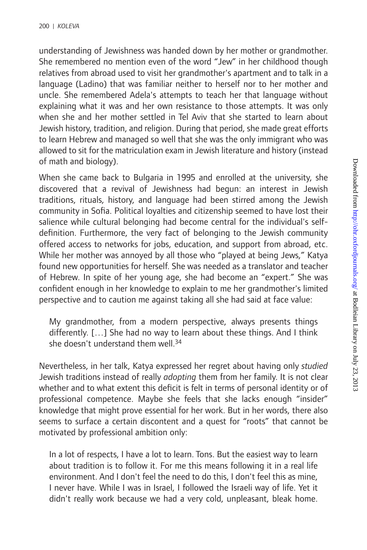understanding of Jewishness was handed down by her mother or grandmother. She remembered no mention even of the word "Jew" in her childhood though relatives from abroad used to visit her grandmother's apartment and to talk in a language (Ladino) that was familiar neither to herself nor to her mother and uncle. She remembered Adela's attempts to teach her that language without explaining what it was and her own resistance to those attempts. It was only when she and her mother settled in Tel Aviv that she started to learn about Jewish history, tradition, and religion. During that period, she made great efforts to learn Hebrew and managed so well that she was the only immigrant who was allowed to sit for the matriculation exam in Jewish literature and history (instead of math and biology).

 When she came back to Bulgaria in 1995 and enrolled at the university, she discovered that a revival of Jewishness had begun: an interest in Jewish traditions, rituals, history, and language had been stirred among the Jewish community in Sofia. Political loyalties and citizenship seemed to have lost their salience while cultural belonging had become central for the individual's selfdefinition. Furthermore, the very fact of belonging to the Jewish community offered access to networks for jobs, education, and support from abroad, etc. While her mother was annoyed by all those who "played at being Jews," Katya found new opportunities for herself. She was needed as a translator and teacher of Hebrew. In spite of her young age, she had become an "expert." She was confident enough in her knowledge to explain to me her grandmother's limited perspective and to caution me against taking all she had said at face value:

 My grandmother, from a modern perspective, always presents things differently. [ … ] She had no way to learn about these things. And I think she doesn't understand them well. 34

 Nevertheless, in her talk, Katya expressed her regret about having only *studied* Jewish traditions instead of really *adopting* them from her family. It is not clear whether and to what extent this deficit is felt in terms of personal identity or of professional competence. Maybe she feels that she lacks enough "insider" knowledge that might prove essential for her work. But in her words, there also seems to surface a certain discontent and a quest for "roots" that cannot be motivated by professional ambition only:

 In a lot of respects, I have a lot to learn. Tons. But the easiest way to learn about tradition is to follow it. For me this means following it in a real life environment. And I don't feel the need to do this, I don't feel this as mine, I never have. While I was in Israel, I followed the Israeli way of life. Yet it didn't really work because we had a very cold, unpleasant, bleak home.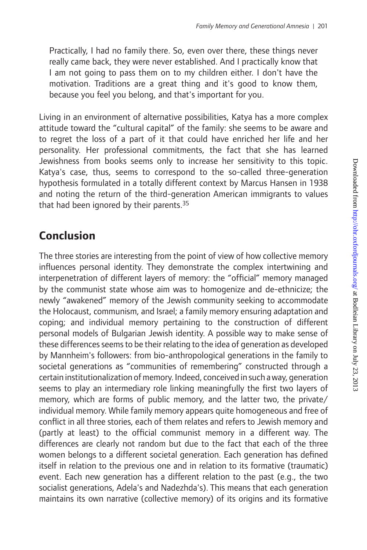Practically, I had no family there. So, even over there, these things never really came back, they were never established. And I practically know that I am not going to pass them on to my children either. I don't have the motivation. Traditions are a great thing and it's good to know them, because you feel you belong, and that's important for you.

 Living in an environment of alternative possibilities, Katya has a more complex attitude toward the "cultural capital" of the family: she seems to be aware and to regret the loss of a part of it that could have enriched her life and her personality. Her professional commitments, the fact that she has learned Jewishness from books seems only to increase her sensitivity to this topic. Katya's case, thus, seems to correspond to the so-called three-generation hypothesis formulated in a totally different context by Marcus Hansen in 1938 and noting the return of the third-generation American immigrants to values that had been ignored by their parents.<sup>35</sup>

### **Conclusion**

 The three stories are interesting from the point of view of how collective memory influences personal identity. They demonstrate the complex intertwining and interpenetration of different layers of memory: the "official" memory managed by the communist state whose aim was to homogenize and de-ethnicize; the newly "awakened" memory of the Jewish community seeking to accommodate the Holocaust, communism, and Israel; a family memory ensuring adaptation and coping; and individual memory pertaining to the construction of different personal models of Bulgarian Jewish identity. A possible way to make sense of these differences seems to be their relating to the idea of generation as developed by Mannheim's followers: from bio-anthropological generations in the family to societal generations as "communities of remembering" constructed through a certain institutionalization of memory. Indeed, conceived in such a way, generation seems to play an intermediary role linking meaningfully the first two layers of memory, which are forms of public memory, and the latter two, the private/ individual memory. While family memory appears quite homogeneous and free of conflict in all three stories, each of them relates and refers to Jewish memory and (partly at least) to the official communist memory in a different way. The differences are clearly not random but due to the fact that each of the three women belongs to a different societal generation. Each generation has defined itself in relation to the previous one and in relation to its formative (traumatic) event. Each new generation has a different relation to the past (e.g., the two socialist generations, Adela's and Nadezhda's). This means that each generation maintains its own narrative (collective memory) of its origins and its formative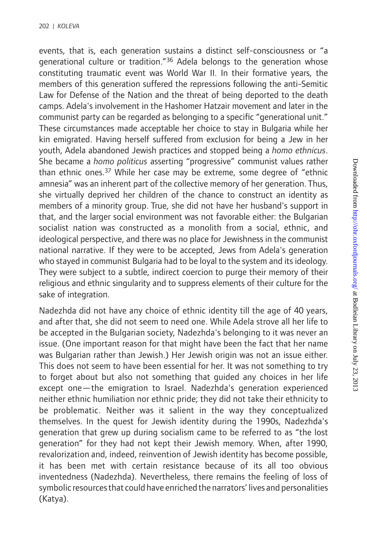events, that is, each generation sustains a distinct self-consciousness or "a generational culture or tradition."<sup>36</sup> Adela belongs to the generation whose constituting traumatic event was World War II. In their formative years, the members of this generation suffered the repressions following the anti-Semitic Law for Defense of the Nation and the threat of being deported to the death camps. Adela's involvement in the Hashomer Hatzair movement and later in the communist party can be regarded as belonging to a specific " generational unit." These circumstances made acceptable her choice to stay in Bulgaria while her kin emigrated. Having herself suffered from exclusion for being a Jew in her youth, Adela abandoned Jewish practices and stopped being a *homo ethnicus* . She became a *homo politicus* asserting "progressive" communist values rather than ethnic ones. $37$  While her case may be extreme, some degree of "ethnic amnesia" was an inherent part of the collective memory of her generation. Thus, she virtually deprived her children of the chance to construct an identity as members of a minority group. True, she did not have her husband's support in that, and the larger social environment was not favorable either: the Bulgarian socialist nation was constructed as a monolith from a social, ethnic, and ideological perspective, and there was no place for Jewishness in the communist national narrative. If they were to be accepted, Jews from Adela's generation who stayed in communist Bulgaria had to be loyal to the system and its ideology. They were subject to a subtle, indirect coercion to purge their memory of their religious and ethnic singularity and to suppress elements of their culture for the sake of integration.

 Nadezhda did not have any choice of ethnic identity till the age of 40 years, and after that, she did not seem to need one. While Adela strove all her life to be accepted in the Bulgarian society, Nadezhda's belonging to it was never an issue. (One important reason for that might have been the fact that her name was Bulgarian rather than Jewish.) Her Jewish origin was not an issue either. This does not seem to have been essential for her. It was not something to try to forget about but also not something that guided any choices in her life except one — the emigration to Israel. Nadezhda's generation experienced neither ethnic humiliation nor ethnic pride; they did not take their ethnicity to be problematic. Neither was it salient in the way they conceptualized themselves. In the quest for Jewish identity during the 1990s, Nadezhda's generation that grew up during socialism came to be referred to as " the lost generation" for they had not kept their Jewish memory. When, after 1990, revalorization and, indeed, reinvention of Jewish identity has become possible, it has been met with certain resistance because of its all too obvious inventedness (Nadezhda). Nevertheless, there remains the feeling of loss of symbolic resources that could have enriched the narrators' lives and personalities (Katya).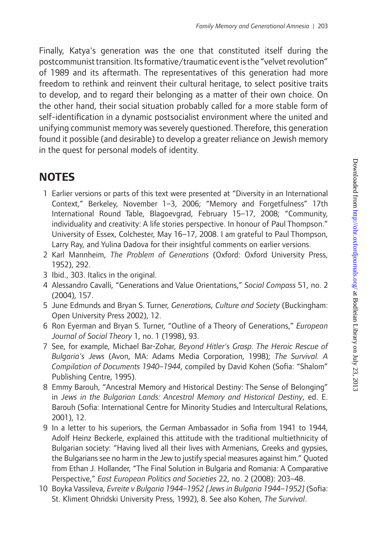Finally, Katya's generation was the one that constituted itself during the postcommunist transition. Its formative/traumatic event is the " velvet revolution " of 1989 and its aftermath. The representatives of this generation had more freedom to rethink and reinvent their cultural heritage, to select positive traits to develop, and to regard their belonging as a matter of their own choice. On the other hand, their social situation probably called for a more stable form of self-identification in a dynamic postsocialist environment where the united and unifying communist memory was severely questioned. Therefore, this generation found it possible (and desirable) to develop a greater reliance on Jewish memory in the quest for personal models of identity.

## **NOTES**

- 1 Earlier versions or parts of this text were presented at " Diversity in an International Context," Berkeley, November 1-3, 2006; "Memory and Forgetfulness" 17th International Round Table, Blagoevgrad, February 15-17, 2008; "Community, individuality and creativity: A life stories perspective. In honour of Paul Thompson." University of Essex, Colchester, May 16-17, 2008. I am grateful to Paul Thompson, Larry Ray, and Yulina Dadova for their insightful comments on earlier versions.
- 2 Karl Mannheim, *The Problem of Generations* (Oxford: Oxford University Press, 1952), 292.
- 3 Ibid., 303. Italics in the original.
- 4 Alessandro Cavalli, " Generations and Value Orientations, " *Social Compass* 51, no. 2 (2004), 157.
- 5 June Edmunds and Bryan S. Turner, *Generations, Culture and Society* (Buckingham: Open University Press 2002), 12.
- 6 Ron Eyerman and Bryan S. Turner, " Outline of a Theory of Generations, " *European Journal of Social Theory* 1, no. 1 (1998), 93.
- 7 See, for example, Michael Bar-Zohar, *Beyond Hitler's Grasp. The Heroic Rescue of Bulgaria's Jews* (Avon, MA: Adams Media Corporation, 1998); *The Survival. A*  Compilation of Documents 1940-1944, compiled by David Kohen (Sofia: "Shalom" Publishing Centre, 1995).
- 8 Emmy Barouh, "Ancestral Memory and Historical Destiny: The Sense of Belonging" in *Jews in the Bulgarian Lands: Ancestral Memory and Historical Destiny* , ed. E. Barouh (Sofia: International Centre for Minority Studies and Intercultural Relations, 2001), 12.
- 9 In a letter to his superiors, the German Ambassador in Sofia from 1941 to 1944, Adolf Heinz Beckerle, explained this attitude with the traditional multiethnicity of Bulgarian society: " Having lived all their lives with Armenians, Greeks and gypsies, the Bulgarians see no harm in the Jew to justify special measures against him. " Quoted from Ethan J. Hollander, " The Final Solution in Bulgaria and Romania: A Comparative Perspective," *East European Politics and Societies* 22, no. 2 (2008): 203-48.
- 10 Boyka Vassileva, *Evreite v Bulgaria 1944–1952 [Jews in Bulgaria 1944–1952]* (Sofia: St. Kliment Ohridski University Press, 1992), 8. See also Kohen, *The Survival* .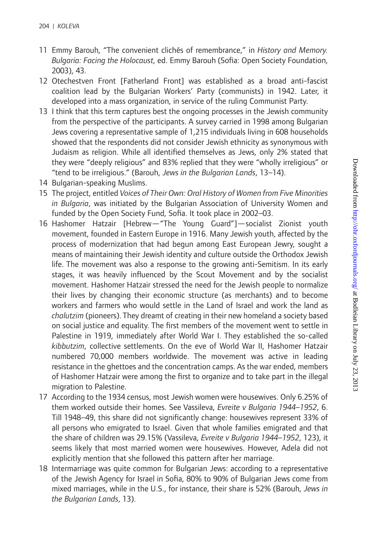- 11 Emmy Barouh, " The convenient clichés of remembrance, " in *History and Memory. Bulgaria: Facing the Holocaust, ed. Emmy Barouh (Sofia: Open Society Foundation,* 2003), 43.
- 12 Otechestven Front [Fatherland Front] was established as a broad anti-fascist coalition lead by the Bulgarian Workers' Party (communists) in 1942. Later, it developed into a mass organization, in service of the ruling Communist Party.
- 13 I think that this term captures best the ongoing processes in the Jewish community from the perspective of the participants. A survey carried in 1998 among Bulgarian Jews covering a representative sample of 1,215 individuals living in 608 households showed that the respondents did not consider Jewish ethnicity as synonymous with Judaism as religion. While all identified themselves as Jews, only 2% stated that they were "deeply religious" and 83% replied that they were "wholly irreligious" or " tend to be irreligious. " (Barouh, *Jews in the Bulgarian Lands* , 13 – 14).
- 14 Bulgarian-speaking Muslims.
- 15 The project, entitled *Voices of Their Own: Oral History of Women from Five Minorities in Bulgaria* , was initiated by the Bulgarian Association of University Women and funded by the Open Society Fund, Sofia. It took place in 2002-03.
- 16 Hashomer Hatzair [Hebrew—"The Young Guard"]—socialist Zionist youth movement, founded in Eastern Europe in 1916. Many Jewish youth, affected by the process of modernization that had begun among East European Jewry, sought a means of maintaining their Jewish identity and culture outside the Orthodox Jewish life. The movement was also a response to the growing anti-Semitism. In its early stages, it was heavily influenced by the Scout Movement and by the socialist movement. Hashomer Hatzair stressed the need for the Jewish people to normalize their lives by changing their economic structure (as merchants) and to become workers and farmers who would settle in the Land of Israel and work the land as *chalutzim* (pioneers). They dreamt of creating in their new homeland a society based on social justice and equality. The first members of the movement went to settle in Palestine in 1919, immediately after World War I. They established the so-called *kibbutzim* , collective settlements. On the eve of World War II, Hashomer Hatzair numbered 70,000 members worldwide. The movement was active in leading resistance in the ghettoes and the concentration camps. As the war ended, members of Hashomer Hatzair were among the first to organize and to take part in the illegal migration to Palestine.
- 17 According to the 1934 census, most Jewish women were housewives. Only 6.25% of them worked outside their homes. See Vassileva, *Evreite v Bulgaria 1944 – 1952* , 6. Till 1948–49, this share did not significantly change: housewives represent 33% of all persons who emigrated to Israel. Given that whole families emigrated and that the share of children was 29.15% (Vassileva, *Evreite v Bulgaria 1944 – 1952* , 123), it seems likely that most married women were housewives. However, Adela did not explicitly mention that she followed this pattern after her marriage.
- 18 Intermarriage was quite common for Bulgarian Jews: according to a representative of the Jewish Agency for Israel in Sofia, 80% to 90% of Bulgarian Jews come from mixed marriages, while in the U.S., for instance, their share is 52% (Barouh, *Jews in the Bulgarian Lands* , 13).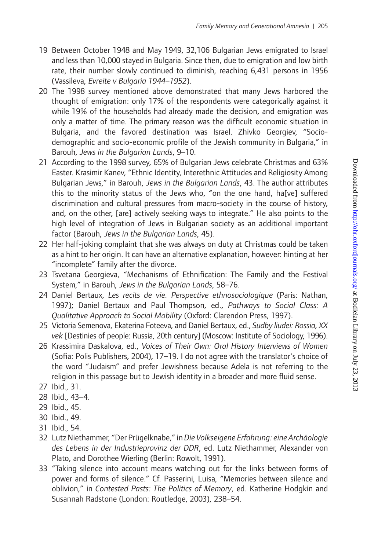- 19 Between October 1948 and May 1949, 32,106 Bulgarian Jews emigrated to Israel and less than 10,000 stayed in Bulgaria. Since then, due to emigration and low birth rate, their number slowly continued to diminish, reaching 6,431 persons in 1956 (Vassileva, *Evreite v Bulgaria 1944 – 1952* ).
- 20 The 1998 survey mentioned above demonstrated that many Jews harbored the thought of emigration: only 17% of the respondents were categorically against it while 19% of the households had already made the decision, and emigration was only a matter of time. The primary reason was the difficult economic situation in Bulgaria, and the favored destination was Israel. Zhivko Georgiev, "Sociodemographic and socio-economic profile of the Jewish community in Bulgaria," in Barouh, *Jews in the Bulgarian Lands*, 9-10.
- 21 According to the 1998 survey, 65% of Bulgarian Jews celebrate Christmas and 63% Easter. Krasimir Kanev, " Ethnic Identity, Interethnic Attitudes and Religiosity Among Bulgarian Jews," in Barouh, *Jews in the Bulgarian Lands*, 43. The author attributes this to the minority status of the Jews who, " on the one hand, ha[ve] suffered discrimination and cultural pressures from macro-society in the course of history, and, on the other, [are] actively seeking ways to integrate." He also points to the high level of integration of Jews in Bulgarian society as an additional important factor (Barouh, *Jews in the Bulgarian Lands*, 45).
- 22 Her half-joking complaint that she was always on duty at Christmas could be taken as a hint to her origin. It can have an alternative explanation, however: hinting at her "incomplete" family after the divorce.
- 23 Tsvetana Georgieva, "Mechanisms of Ethnification: The Family and the Festival System," in Barouh, *Jews in the Bulgarian Lands*, 58-76.
- 24 Daniel Bertaux, *Les recits de vie. Perspective ethnosociologique* (Paris: Nathan, 1997); Daniel Bertaux and Paul Thompson, ed., *Pathways to Social Class: A Qualitative Approach to Social Mobility* (Oxford: Clarendon Press, 1997).
- 25 Victoria Semenova, Ekaterina Foteeva, and Daniel Bertaux, ed., *Sudby liudei: Rossia, XX vek* [Destinies of people: Russia, 20th century] (Moscow: Institute of Sociology, 1996).
- 26 Krassimira Daskalova, ed., *Voices of Their Own: Oral History Interviews of Women* (Sofia: Polis Publishers, 2004), 17-19. I do not agree with the translator's choice of the word "Judaism" and prefer Jewishness because Adela is not referring to the religion in this passage but to Jewish identity in a broader and more fluid sense.
- 27 Ibid., 31.
- 28 Ibid., 43-4.
- 29 Ibid., 45.
- 30 Ibid., 49.
- 31 Ibid., 54.
- 32 Lutz Niethammer, " Der Prügelknabe, " in *Die Volkseigene Erfahrung: eine Archäologie des Lebens in der Industrieprovinz der DDR* , ed. Lutz Niethammer, Alexander von Plato, and Dorothee Wierling (Berlin: Rowolt, 1991).
- 33 " Taking silence into account means watching out for the links between forms of power and forms of silence." Cf. Passerini, Luisa, "Memories between silence and oblivion," in Contested Pasts: The Politics of Memory, ed. Katherine Hodgkin and Susannah Radstone (London: Routledge, 2003), 238-54.